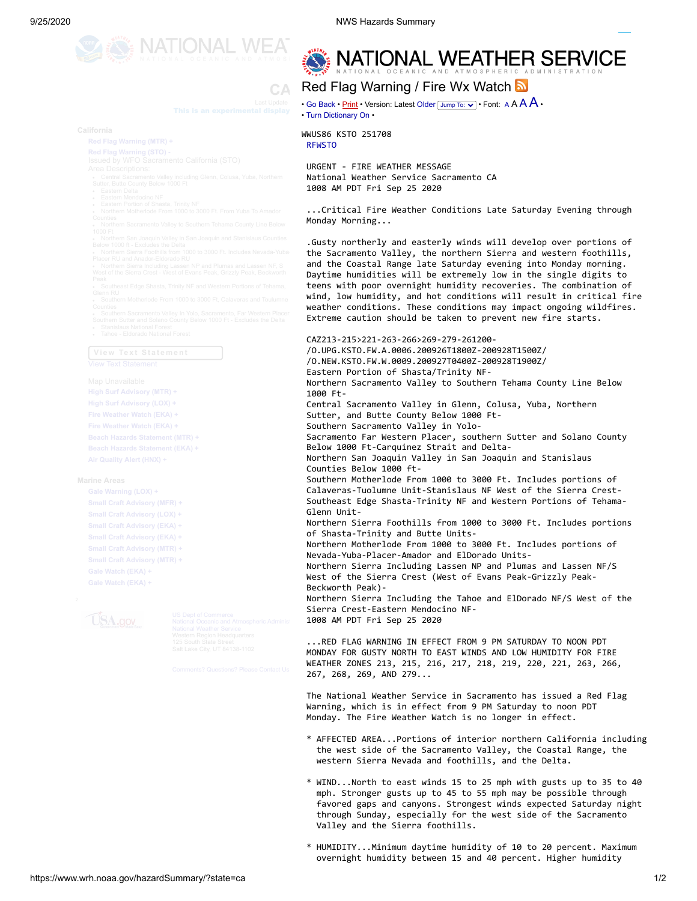

NATIONAL WEATHER SERVICE

## **CA Hazards Summary** Red Flag Warning / Fire Wx Watch

**This is an experimental display**  $\cdot$  **Go [Back](javascript:history.go(-1);) • <u>[Print](javascript:window.print())</u> • Version: Latest [Older](https://www.wrh.noaa.gov/hazardSummary/getprod.php?afos=rfwsto&print=yes&font=120&new=1&version=1) <u>Jump To:**  $\cdot$ **</u> • Font: [A](https://www.wrh.noaa.gov/hazardSummary/getprod.php?afos=rfwsto&version=0&print=yes&new=1&font=180) A A A**  $\cdot$ • Turn [Dictionary](https://www.wrh.noaa.gov/hazardSummary/getprod.php?afos=rfwsto&version=0&print=yes&font=120&new=1&toggle=dictionary) On •

**Beginshmen and the California California Begins 251708** [RFWSTO](https://www.wrh.noaa.gov/hazardSummary/getprod.php?version=0&print=yes&font=120&new=1&afos=XXXRFWSTO)

> URGENT - FIRE WEATHER MESSAGE National Weather Service Sacramento CA 1008 AM PDT Fri Sep 25 2020

 ...Critical Fire Weather Conditions Late Saturday Evening through Monday Morning...

 .Gusty northerly and easterly winds will develop over portions of the Sacramento Valley, the northern Sierra and western foothills, and the Coastal Range late Saturday evening into Monday morning. Daytime humidities will be extremely low in the single digits to teens with poor overnight humidity recoveries. The combination of wind, low humidity, and hot conditions will result in critical fire weather conditions. These conditions may impact ongoing wildfires. Extreme caution should be taken to prevent new fire starts.

[High Surf Advisory \(LOX\) +](javascript:;) Now Sate Sep 26 9:00 and Sacramento Valley in Glenn, Colusa, Yuba, Northern 2016 and S [Fire Weather Watch \(EKA\) +](javascript:;) Sun Sun Sutter, and Butte County Below 1000 Ft- CAZ213-215>221-263-266>269-279-261200- /O.UPG.KSTO.FW.A.0006.200926T1800Z-200928T1500Z/ /O.NEW.KSTO.FW.W.0009.200927T0400Z-200928T1900Z/ Eastern Portion of Shasta/Trinity NF- Northern Sacramento Valley to Southern Tehama County Line Below 1000 Ft-

[Beach Hazards Statement \(MTR\) +](javascript:;) Now Fried County Sacramento Far Western Placer, southern Sutter and Solano County [Beach Hazards Statement \(EKA\) +](javascript:;) Now **Now 1000 Ft-Carquinez Strait and Delta-**[Air Quality Alert \(HNX\) +](javascript:;) **Monthern San Joaquin Valley in San Joaquin and Stanislaus Marine Areas Begins Ends Ends Ends Ends Ends Ends Ends Ends Ends Ends Ends Ends Ends Ends Ends Ends Ends Ends Ends Ends Ends Ends Ends Ends Ends Ends Ends Ends E** [Gale Warning \(LOX\) +](javascript:;) Now Sat Sep 26:00 and Sep 26:00 and Sep 26:00 and Sep 26:00 and Sep 26:00 and Sep 26:00 and Sep 26:00 and Sep 26:00 and Sep 26:00 and Sep 27:00 and Sep 27:00 and Sep 27:00 and Sep 27:00 and Sep 27:00 a [Small Craft Advisory \(MFR\) +](javascript:;) Now Southeast Edge Shasta-Trinity NF and Western Portions of Tehama-[Small Craft Advisory \(EKA\) +](javascript:;) **Northern Sierra Foothills from 1000 to 3000 Ft. Includes portions**  Counties Below 1000 ft- Glenn Unit of Shasta-Trinity and Butte Units-

[Small Craft Advisory \(EKA\) +](javascript:;) Now Friedrich State **of Shasta-Trinity and Butte Units-** Now Trinity and Separate State of Trinity and Separate State of Trinity and Separate State of Trinity and Separate State of Trinity and [Small Craft Advisory \(MTR\) +](javascript:;) **Northern Motherlode From 1000 to 3000 Ft. Includes portions of** Nevada-Yuba-Placer-Amador and ElDorado Units-

[Small Craft Advisory \(MTR\) +](javascript:;) **Fried Advisory (MTR) +** Fried Conservation Separation and Executive Collection of the Craft Advisory (MTR) + **Northern Sierra Including Lassen NP and Plumas and Lassen NF/S** [Gale Watch \(EKA\) +](javascript:;) Sun Sep 27 8:00 pm 1. Sun Sep 27 8:00 pm 1. Sun Sep 27 8:00 pm 1. Sep 27 9:00 pm 1. Sep 27 9:00 pm 1. Sep 27 9:00 pm 1. Sep 27 9:00 pm 1. Sep 27 9:00 pm 1. Sep 27 9:00 pm 1. Sep 27 9:00 pm 1. Sep 27 9:00 **[Gale Watch \(EKA\) +](javascript:;) Sun Sep 27.00 West of the Sierra Crest (West of Evans Peak-Grizzly Peak-**Griss) + Beckworth Peak)-

> Sierra Crest-Eastern Mendocino NF- Northern Sierra Including the Tahoe and ElDorado NF/S West of the 1008 AM PDT Fri Sep 25 2020

...RED FLAG WARNING IN EFFECT FROM 9 PM SATU[RDAY TO NOON](https://www.weather.gov/careers) PDT MONDAY FOR GUSTY NORTH TO EAST WINDS AND LOW HUMIDITY FOR FIRE WEATHER ZONES 213, 215, 216, 217, 218, 219, 220, 221, 263, 266, 267, 268, 269, AND 279...

 The National Weather Service in Sacramento has issued a Red Flag Warning, which is in effect from 9 PM Saturday to noon PDT Monday. The Fire Weather Watch is no longer in effect.

- \* AFFECTED AREA...Portions of interior northern California including the west side of the Sacramento Valley, the Coastal Range, the western Sierra Nevada and foothills, and the Delta.
- \* WIND...North to east winds 15 to 25 mph with gusts up to 35 to 40 mph. Stronger gusts up to 45 to 55 mph may be possible through favored gaps and canyons. Strongest winds expected Saturday night through Sunday, especially for the west side of the Sacramento Valley and the Sierra foothills.
- \* HUMIDITY...Minimum daytime humidity of 10 to 20 percent. Maximum overnight humidity between 15 and 40 percent. Higher humidity

- 
- 
- 

**Vi ew Te x t St a t e m ent**

[Fire Weather Watch \(EKA\) +](javascript:;) Satt September 26:000 **Southern Sacramento Valley in Yolo-**

**USA.gov** 

National Oceanic and Atmospheric Administ